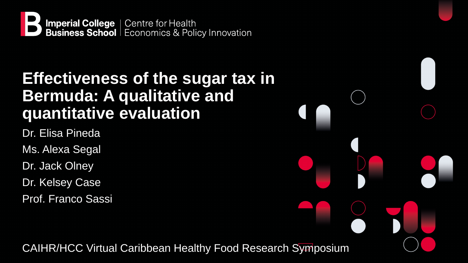

# **Effectiveness of the sugar tax in Bermuda: A qualitative and quantitative evaluation**

- Dr. Elisa Pineda
- Ms. Alexa Segal
- Dr. Jack Olney
- Dr. Kelsey Case
- Prof. Franco Sassi

CAIHR/HCC Virtual Caribbean Healthy Food Research Symposium

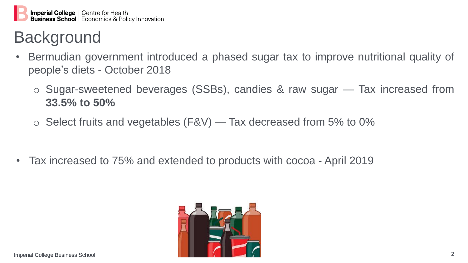

- Bermudian government introduced a phased sugar tax to improve nutritional quality of people's diets - October 2018
	- o Sugar-sweetened beverages (SSBs), candies & raw sugar Tax increased from **33.5% to 50%**
	- $\circ$  Select fruits and vegetables (F&V) Tax decreased from 5% to 0%

• Tax increased to 75% and extended to products with cocoa - April 2019

# Background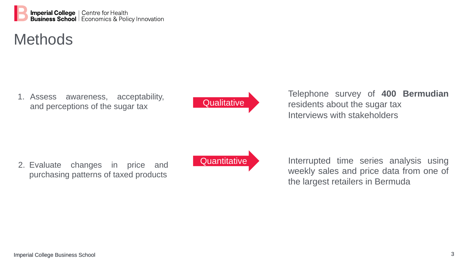

## **Methods**

1. Assess awareness, acceptability, and perceptions of the sugar tax **Qualitative** 

### Telephone survey of **400 Bermudian** residents about the sugar tax Interviews with stakeholders

Quantitative Interrupted time series analysis using weekly sales and price data from one of the largest retailers in Bermuda



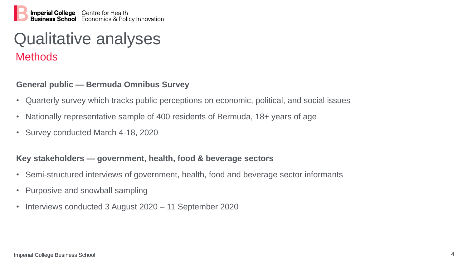## Qualitative analyses **Methods**

#### **General public — Bermuda Omnibus Survey**

- Semi-structured interviews of government, health, food and beverage sector informants
- Purposive and snowball sampling
- Interviews conducted 3 August 2020 11 September 2020
- Quarterly survey which tracks public perceptions on economic, political, and social issues
- Nationally representative sample of 400 residents of Bermuda, 18+ years of age
- Survey conducted March 4-18, 2020

#### **Key stakeholders — government, health, food & beverage sectors**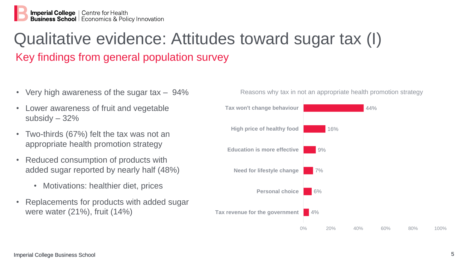appropriate health promotion strategy

## Qualitative evidence: Attitudes toward sugar tax (I) Key findings from general population survey

|           | • Very high awareness of the sugar tax – 94%                                        | Reasons why tax in not an                                               |     |
|-----------|-------------------------------------------------------------------------------------|-------------------------------------------------------------------------|-----|
|           | • Lower awareness of fruit and vegetable<br>subsidy $-32%$                          | Tax won't change behaviour                                              |     |
|           | • Two-thirds (67%) felt the tax was not an<br>appropriate health promotion strategy | <b>High price of healthy food</b><br><b>Education is more effective</b> |     |
|           | • Reduced consumption of products with<br>added sugar reported by nearly half (48%) | <b>Need for lifestyle change</b>                                        |     |
|           | • Motivations: healthier diet, prices                                               | <b>Personal choice</b>                                                  |     |
| $\bullet$ | Replacements for products with added sugar<br>were water (21%), fruit (14%)         | Tax revenue for the government                                          | l 4 |

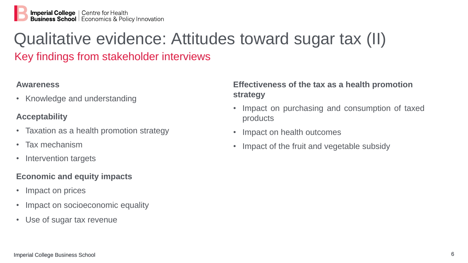#### **Awareness**

• Knowledge and understanding

### **Acceptability**

- Taxation as a health promotion strategy
- Tax mechanism
- Intervention targets

- Impact on prices
- Impact on socioeconomic equality
- Use of sugar tax revenue

## Qualitative evidence: Attitudes toward sugar tax (II) Key findings from stakeholder interviews

- Impact on purchasing and consumption of taxed products
- Impact on health outcomes
- Impact of the fruit and vegetable subsidy

### **Economic and equity impacts**

**Effectiveness of the tax as a health promotion** 

# **strategy**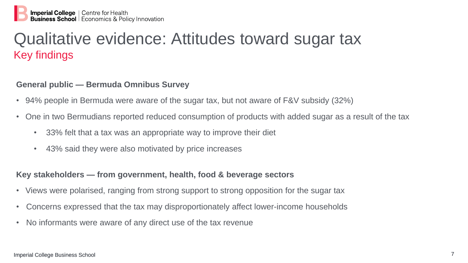#### **General public — Bermuda Omnibus Survey**

- 94% people in Bermuda were aware of the sugar tax, but not aware of F&V subsidy (32%)
- One in two Bermudians reported reduced consumption of products with added sugar as a result of the tax
	- 33% felt that a tax was an appropriate way to improve their diet
	- 43% said they were also motivated by price increases

## Qualitative evidence: Attitudes toward sugar tax Key findings

#### **Key stakeholders — from government, health, food & beverage sectors**

- Views were polarised, ranging from strong support to strong opposition for the sugar tax
- Concerns expressed that the tax may disproportionately affect lower-income households
- No informants were aware of any direct use of the tax revenue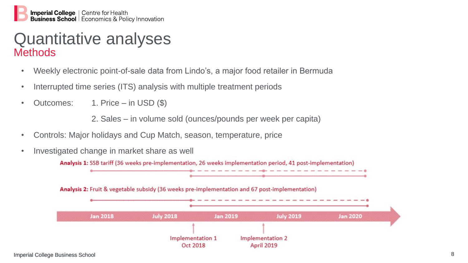Imperial College Business School 8

## Quantitative analyses **Methods**

- Weekly electronic point-of-sale data from Lindo's, a major food retailer in Bermuda
- Interrupted time series (ITS) analysis with multiple treatment periods
- Outcomes: 1. Price in USD (\$)



2. Sales – in volume sold (ounces/pounds per week per capita)

- Controls: Major holidays and Cup Match, season, temperature, price
- Investigated change in market share as well

Analysis 1: SSB tariff (36 weeks pre-implementation, 26 weeks implementation period, 41 post-implementation)



Analysis 2: Fruit & vegetable subsidy (36 weeks pre-implementation and 67 post-implementation)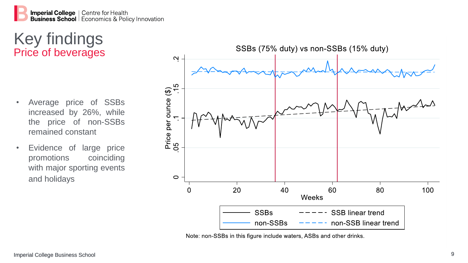Key findings Price of beverages

- Average price of SSBs increased by 26 % , while the price of non -SSBs remained constant
- Evidence of large price promotions coinciding with major sporting events and holidays



Note: non-SSBs in this figure include waters, ASBs and other drinks.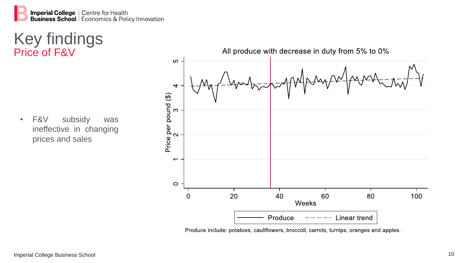Key findings Price of F&V

• F&V subsidy was ineffective in changing prices and sales



Produce include: potatoes, cauliflowers, broccoli, carrots, turnips, oranges and apples.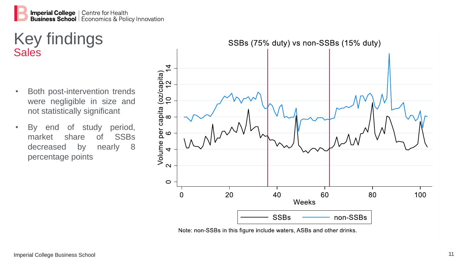## Key findings **Sales**

- Both post -intervention trends were negligible in size and not statistically significant
- By end of study period, market share of SSBs decreased by nearly 8 percentage points



Note: non-SSBs in this figure include waters, ASBs and other drinks.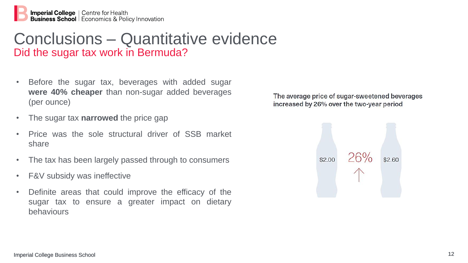#### The average price of sugar-sweetened beverages increased by 26% over the two-year period



### Conclusions – Quantitative evidence Did the sugar tax work in Bermuda?

• Before the sugar tax, beverages with added sugar **were 40% cheaper** than non-sugar added beverages (per ounce)

- The sugar tax **narrowed** the price gap
- Price was the sole structural driver of SSB market share
- The tax has been largely passed through to consumers
- F&V subsidy was ineffective
- Definite areas that could improve the efficacy of the sugar tax to ensure a greater impact on dietary behaviours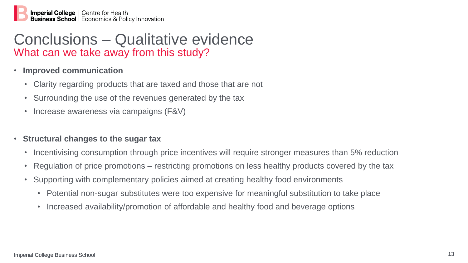- **Improved communication**
	- Clarity regarding products that are taxed and those that are not
	- Surrounding the use of the revenues generated by the tax
	- Increase awareness via campaigns (F&V)
- **Structural changes to the sugar tax**
	- Incentivising consumption through price incentives will require stronger measures than 5% reduction
	- Regulation of price promotions restricting promotions on less healthy products covered by the tax
	- Supporting with complementary policies aimed at creating healthy food environments
		- Potential non-sugar substitutes were too expensive for meaningful substitution to take place
		- Increased availability/promotion of affordable and healthy food and beverage options

**Imperial College** | Centre for Health<br>**Business School** | Economics & Policy Innovation

### What can we take away from this study? Conclusions – Qualitative evidence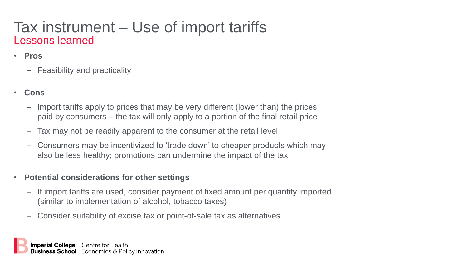- **Pros**
	- Feasibility and practicality
- **Cons**
	- Import tariffs apply to prices that may be very different (lower than) the prices paid by consumers – the tax will only apply to a portion of the final retail price
	- Tax may not be readily apparent to the consumer at the retail level
	- Consumers may be incentivized to 'trade down' to cheaper products which may also be less healthy; promotions can undermine the impact of the tax
- **Potential considerations for other settings** 
	- If import tariffs are used, consider payment of fixed amount per quantity imported (similar to implementation of alcohol, tobacco taxes)
	- Consider suitability of excise tax or point-of-sale tax as alternatives

## Lessons learned Tax instrument – Use of import tariffs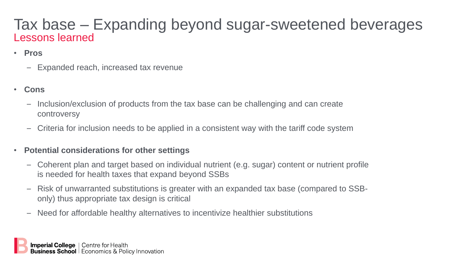- **Pros**
	- Expanded reach, increased tax revenue
- **Cons**
	- Inclusion/exclusion of products from the tax base can be challenging and can create controversy
	- Criteria for inclusion needs to be applied in a consistent way with the tariff code system
- **Potential considerations for other settings** 
	- Coherent plan and target based on individual nutrient (e.g. sugar) content or nutrient profile is needed for health taxes that expand beyond SSBs
	- Risk of unwarranted substitutions is greater with an expanded tax base (compared to SSBonly) thus appropriate tax design is critical
	- Need for affordable healthy alternatives to incentivize healthier substitutions

## Lessons learned Tax base – Expanding beyond sugar-sweetened beverages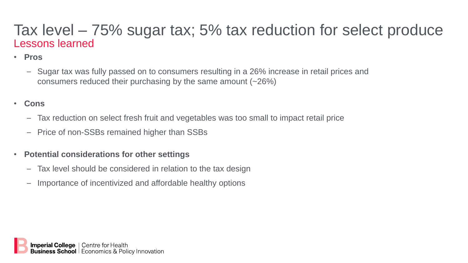- **Pros**
	- Sugar tax was fully passed on to consumers resulting in a 26% increase in retail prices and consumers reduced their purchasing by the same amount (~26%)
- **Cons**
	- Tax reduction on select fresh fruit and vegetables was too small to impact retail price
	- Price of non-SSBs remained higher than SSBs
- **Potential considerations for other settings** 
	- Tax level should be considered in relation to the tax design
	- Importance of incentivized and affordable healthy options

### Lessons learned Tax level – 75% sugar tax; 5% tax reduction for select produce